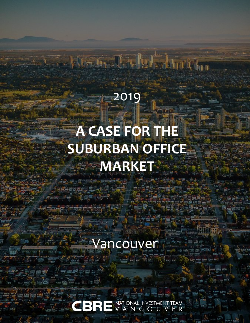# 2019 **A CASE FOR THE SUBURBAN OFFICE MARKET**

A-m. J. Martin

Vancouver

National investment team<br>
V A N C O U V E R 31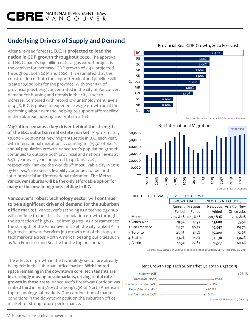# **Underlying Drivers of Supply and Demand**

After a revised forecast, **B.C. is projected to lead the nation in GDP growth throughout 2020**. The approval of LNG Canada's \$40 billion natural gas export project is the catalyst for increased GDP growth of 2.4% projected throughout both 2019 and 2020. It is estimated that the construction of both the export terminal and pipeline will create 10,000 jobs for the province. With over 35% of provincial jobs being concentrated in the city of Vancouver, demand for housing and rentals in the city is set to increase. Combined with record low unemployment levels of 4.3%, B.C. is poised to experience wage growth amid the upcoming labour demand, helping to support affordability in the suburban housing and rental market.

**Migration remains a key driver behind the strength of the B.C. suburban real estate market**. Approximately 30,000 – 60,000 net new migrants settle in B.C. each year, with international migration accounting for 79.3% of B.C.'s annual population growth. Vancouver's population growth continues to outpace both provincial and national levels at 6.5% year-over-year compared to 4.2% and 2.2%, respectively. Ranked the worlds  $6<sup>th</sup>$  most livable city in 2019 by Forbes, Vancouver's livability continues to fuel both inter-provincial and international migration. **The Metro Vancouver suburbs will be the only affordable option for many of the new immigrants settling in B.C.** Source: Statistics Canada

**Vancouver's robust technology sector will continue to be a significant driver of demand for the suburban office market.** Vancouver's standing as a technology hub will continue to fuel the city's population growth through the attraction of high-skilled immigrants. As a testament to the strength of the Vancouver market, the city ranked #1 in high-tech software/services job growth out of the top 30 tech markets across North America, beating out cities such as San Francisco and Seattle for the top position.

The effects of growth in the technology sector are already being felt in the suburban office market. **With limited space remaining in the downtown core, tech tenants are increasingly moving to submarkets, driving rental rate growth in those areas.** Vancouver's Broadway Corridor was ranked third in rent growth amongst 30 of North America's top technology submarkets. The continuation of market conditions in the downtown position the suburban office market for strong future performance.



FORECAST — 10,000 20,000 30,000 40,000 50,000 60,000 2001 2003 2005 2007 2009 2011 2013 2015 2017 2019 202<sup>1</sup> Net International Migration

#### HIGH-TECH SOFTWARE/SERVICES JOB GROWTH

|                 | <b>GROWTH RATE</b> |                     | NEW HIGH-TECH JOBS |                        |  |
|-----------------|--------------------|---------------------|--------------------|------------------------|--|
|                 |                    | Current Previous    |                    | New Jobs As a % of New |  |
|                 | Period             | Period              | Added              | Office Jobs            |  |
| Market          |                    | 2017 & 18 2015 & 16 | 2017 & 18          | 2017 & 18              |  |
| 1 Vancouver     | 29.5%              | 17.9%               | 13,600             | 55.5%                  |  |
| 2 San Francisco | 24.7%              | 38.5%               | 19,947             | 84.7%                  |  |
| 3 Toronto       | 23.9%              | 17.7%               | 30,200             | 72.6%                  |  |
| 4 Seattle       | 23.7%              | 19.1%               | 34,536             | 131.2%                 |  |
| 5 Austin        | 22.5%              | 22.8%               | 10,517             | 60.4%                  |  |
|                 |                    |                     |                    |                        |  |

Source: U.S. Bureau of Labour Statistics, Statistics Canada, CBRE Research, Q2 2019

#### Rent Growth Top Tech Submarket Q2 2017 vs. Q2 2019

|                        | - 28.1%                        |
|------------------------|--------------------------------|
|                        |                                |
|                        |                                |
|                        | $-16.8%$                       |
| East Cambridge (BOS) - | $-16.3%$                       |
|                        | Source: CBRE Research, Q2 2019 |

#### Provincial Real GDP Growth, 2020 Forecast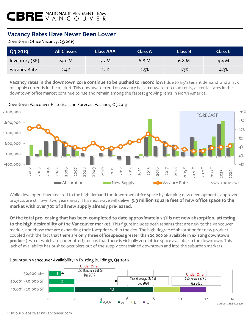## **Vacancy Rates Have Never Been Lower**

#### Downtown Office Vacancy, Q3 2019

| Q3 2019        | <b>All Classes</b> | <b>Class AAA</b> | <b>Class A</b> | Class B | <b>Class C</b> |
|----------------|--------------------|------------------|----------------|---------|----------------|
| Inventory (SF) | 24.0 M             | 5.7 $M$          | 6.8 M          | 6.8 M   | 4.4 M          |
| Vacancy Rate   | 2.4%               | 2.1%             | 2.5%           | 1.3%    | 4.3%           |

**Vacancy rates in the downtown core continue to be pushed to record lows** due to high tenant demand and a lack of supply currently in the market. This downward trend on vacancy has an upward force on rents, as rental rates in the downtown office market continue to rise and remain among the fastest growing rents in North America.

Downtown Vancouver Historical and Forecast Vacancy, Q3 2019



While developers have reacted to the high demand for downtown office space by planning new developments, approved projects are still over two years away. This next wave will deliver **3.9 million square feet of new office space to the market with over 70% of all new supply already pre-leased.** 

**Of the total pre-leasing that has been completed to date approximately 74% is net new absorption, attesting to the high desirability of the Vancouver market.** This figure includes both tenants that are new to the Vancouver market, and those that are expanding their footprint within the city. The high degree of absorption for new product, coupled with the fact that **there are only three office spaces greater than 20,000 SF available in existing downtown product** (two of which are under offer!) means that there is virtually zero office space available in the downtown. This lack of availability has pushed occupiers out of the supply constrained downtown and into the suburban markets.



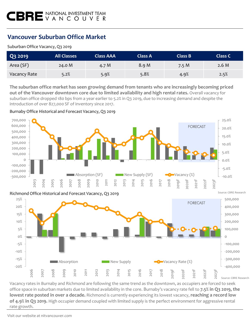## **Vancouver Suburban Office Market**

#### Suburban Office Vacancy, Q3 2019

| Q3 2019      | <b>All Classes</b> | <b>Class AAA</b> | <b>Class A</b> | Class B | <b>Class C</b> |
|--------------|--------------------|------------------|----------------|---------|----------------|
| Area (SF)    | 24.0 M             | 4.7 M            | 8.9 M          | 7.5M    | 2.6M           |
| Vacancy Rate | 5.2%               | 5.9%             | 5.8%           | 4.9%    | 2.5%           |

**The suburban office market has seen growing demand from tenants who are increasingly becoming priced out of the Vancouver downtown core due to limited availability and high rental rates.** Overall vacancy for suburban office dropped 180 bps from a year earlier to 5.2% in Q3 2019, due to increasing demand and despite the introduction of over 827,000 SF of inventory since 2017.

#### Burnaby Office Historical and Forecast Vacancy, Q3 2019



Vacancy rates in Burnaby and Richmond are following the same trend as the downtown, as occupiers are forced to seek office space in suburban markets due to limited availability in the core. Burnaby's vacancy rate fell to **7.5% in Q3 2019, the lowest rate posted in over a decade.** Richmond is currently experiencing its lowest vacancy, **reaching a record low of 4.9% in Q3 2019.** High occupier demand coupled with limited supply is the perfect environment for aggressive rental rate growth.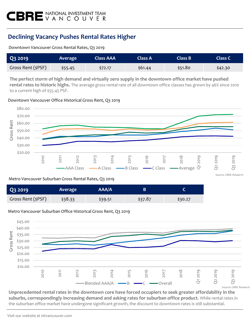## **Declining Vacancy Pushes Rental Rates Higher**

Downtown Vancouver Gross Rental Rates, Q3 2019

| Q3 2019            | Average | <b>Class AAA</b> | Class A | Class B | <b>Class C</b> |
|--------------------|---------|------------------|---------|---------|----------------|
| Gross Rent (\$PSF) | \$55.45 | \$72.17          | \$61.44 | \$51.80 | \$42.30        |

**The perfect storm of high demand and virtually zero supply in the downtown office market have pushed rental rates to historic highs.** The average gross rental rate of all downtown office classes has grown by 46% since 2010 to a current high of \$55.45 PSF.

Downtown Vancouver Office Historical Gross Rent, Q3 2019



Source: CBRE Research

#### Metro Vancouver Suburban Gross Rental Rates, Q3 2019

| Q3 2019            | Average | AAA/A   | В       |         |
|--------------------|---------|---------|---------|---------|
| Gross Rent (\$PSF) | \$38.33 | \$39.51 | \$37.87 | \$30.27 |

#### Metro Vancouver Suburban Office Historical Gross Rent, Q3 2019



**Unprecedented rental rates in the downtown core have forced occupiers to seek greater affordability in the suburbs, correspondingly increasing demand and asking rates for suburban office product.** While rental rates in the suburban office market have undergone significant growth, the discount to downtown rates is still substantial.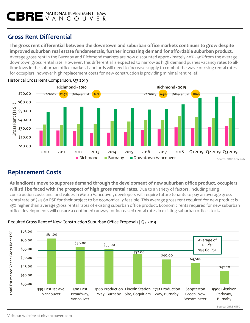## **Gross Rent Differential**

**The gross rent differential between the downtown and suburban office markets continues to grow despite improved suburban real estate fundamentals, further increasing demand for affordable suburban product.**  Average gross rent in the Burnaby and Richmond markets are now discounted approximately 40% - 50% from the average downtown gross rental rate. However, this differential is expected to narrow as high demand pushes vacancy rates to alltime lows in the suburban office market. Landlords will need to increase supply to combat the wave of rising rental rates for occupiers, however high replacement costs for new construction is providing minimal rent relief.





## **Replacement Costs**

**As landlords move to suppress demand through the development of new suburban office product, occupiers will still be faced with the prospect of high gross rental rates.** Due to a variety of factors, including rising construction costs and land values in Metro Vancouver, developers will require future tenants to pay an average gross rental rate of \$54.60 PSF for their project to be economically feasible. This average gross rent required for new product is 45% higher than average gross rental rates of existing suburban office product. Economic rents required for new suburban office developments will ensure a continued runway for increased rental rates in existing suburban office stock.



#### Required Gross Rent of New Construction Suburban Office Proposals | Q3 2019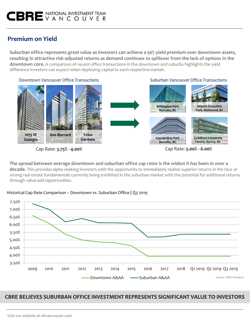## **Premium on Yield**

**Suburban office represents great value as investors can achieve a 50% yield premium over downtown assets, resulting in attractive risk-adjusted returns as demand continues to spillover from the lack of options in the downtown core.** A comparison of recent office transactions in the downtown and suburbs highlights the yield difference investors can expect when deploying capital to each respective market.



**The spread between average downtown and suburban office cap rates is the widest it has been in over a decade.** This provides alpha seeking investors with the opportunity to immediately realize superior returns in the face of strong real estate fundamentals currently being exhibited in the suburban market with the potential for additional returns through value-add opportunities.





### **CBRE BELIEVES SUBURBAN OFFICE INVESTMENT REPRESENTS SIGNIFICANT VALUE TO INVESTORS**